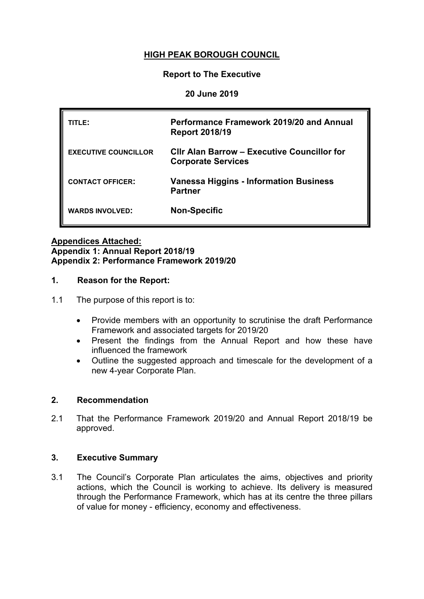# **HIGH PEAK BOROUGH COUNCIL**

### **Report to The Executive**

### **20 June 2019**

| TITLE:                      | Performance Framework 2019/20 and Annual<br><b>Report 2018/19</b>               |
|-----------------------------|---------------------------------------------------------------------------------|
| <b>EXECUTIVE COUNCILLOR</b> | <b>Clir Alan Barrow - Executive Councillor for</b><br><b>Corporate Services</b> |
| <b>CONTACT OFFICER:</b>     | <b>Vanessa Higgins - Information Business</b><br><b>Partner</b>                 |
| <b>WARDS INVOLVED:</b>      | <b>Non-Specific</b>                                                             |

#### **Appendices Attached: Appendix 1: Annual Report 2018/19 Appendix 2: Performance Framework 2019/20**

### **1. Reason for the Report:**

- 1.1 The purpose of this report is to:
	- Provide members with an opportunity to scrutinise the draft Performance Framework and associated targets for 2019/20
	- Present the findings from the Annual Report and how these have influenced the framework
	- Outline the suggested approach and timescale for the development of a new 4-year Corporate Plan.

### **2. Recommendation**

2.1 That the Performance Framework 2019/20 and Annual Report 2018/19 be approved.

### **3. Executive Summary**

3.1 The Council's Corporate Plan articulates the aims, objectives and priority actions, which the Council is working to achieve. Its delivery is measured through the Performance Framework, which has at its centre the three pillars of value for money - efficiency, economy and effectiveness.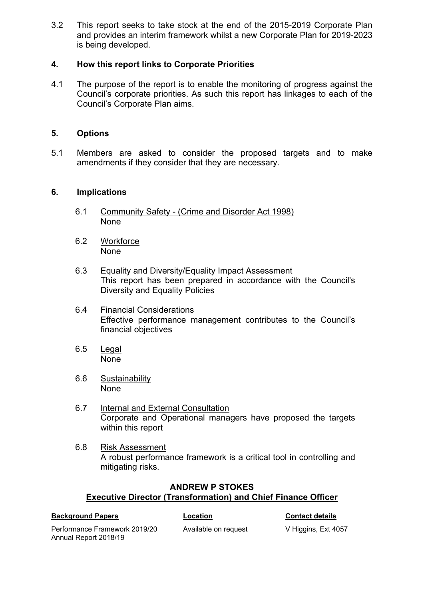3.2 This report seeks to take stock at the end of the 2015-2019 Corporate Plan and provides an interim framework whilst a new Corporate Plan for 2019-2023 is being developed.

## **4. How this report links to Corporate Priorities**

4.1 The purpose of the report is to enable the monitoring of progress against the Council's corporate priorities. As such this report has linkages to each of the Council's Corporate Plan aims.

### **5. Options**

5.1 Members are asked to consider the proposed targets and to make amendments if they consider that they are necessary.

### **6. Implications**

- 6.1 Community Safety (Crime and Disorder Act 1998) None
- 6.2 Workforce None
- 6.3 Equality and Diversity/Equality Impact Assessment This report has been prepared in accordance with the Council's Diversity and Equality Policies
- 6.4 Financial Considerations Effective performance management contributes to the Council's financial objectives
- 6.5 Legal None
- 6.6 Sustainability None
- 6.7 Internal and External Consultation Corporate and Operational managers have proposed the targets within this report
- 6.8 Risk Assessment A robust performance framework is a critical tool in controlling and mitigating risks.

## **ANDREW P STOKES Executive Director (Transformation) and Chief Finance Officer**

| <b>Background Papers</b>                               | Location             | <b>Contact details</b> |
|--------------------------------------------------------|----------------------|------------------------|
| Performance Framework 2019/20<br>Annual Report 2018/19 | Available on request | V Higgins, Ext 4057    |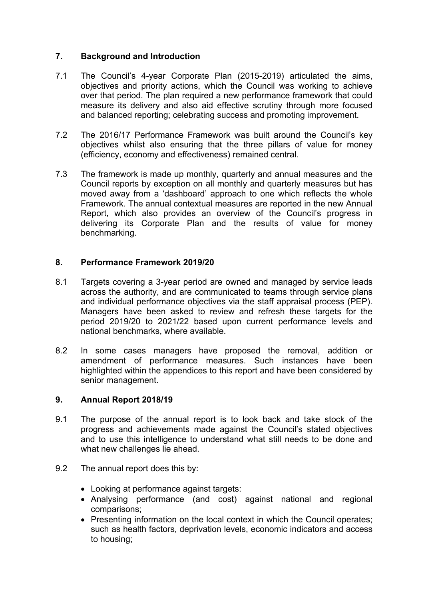## **7. Background and Introduction**

- 7.1 The Council's 4-year Corporate Plan (2015-2019) articulated the aims, objectives and priority actions, which the Council was working to achieve over that period. The plan required a new performance framework that could measure its delivery and also aid effective scrutiny through more focused and balanced reporting; celebrating success and promoting improvement.
- 7.2 The 2016/17 Performance Framework was built around the Council's key objectives whilst also ensuring that the three pillars of value for money (efficiency, economy and effectiveness) remained central.
- 7.3 The framework is made up monthly, quarterly and annual measures and the Council reports by exception on all monthly and quarterly measures but has moved away from a 'dashboard' approach to one which reflects the whole Framework. The annual contextual measures are reported in the new Annual Report, which also provides an overview of the Council's progress in delivering its Corporate Plan and the results of value for money benchmarking.

### **8. Performance Framework 2019/20**

- 8.1 Targets covering a 3-year period are owned and managed by service leads across the authority, and are communicated to teams through service plans and individual performance objectives via the staff appraisal process (PEP). Managers have been asked to review and refresh these targets for the period 2019/20 to 2021/22 based upon current performance levels and national benchmarks, where available.
- 8.2 In some cases managers have proposed the removal, addition or amendment of performance measures. Such instances have been highlighted within the appendices to this report and have been considered by senior management.

### **9. Annual Report 2018/19**

- 9.1 The purpose of the annual report is to look back and take stock of the progress and achievements made against the Council's stated objectives and to use this intelligence to understand what still needs to be done and what new challenges lie ahead.
- 9.2 The annual report does this by:
	- Looking at performance against targets:
	- Analysing performance (and cost) against national and regional comparisons;
	- Presenting information on the local context in which the Council operates: such as health factors, deprivation levels, economic indicators and access to housing;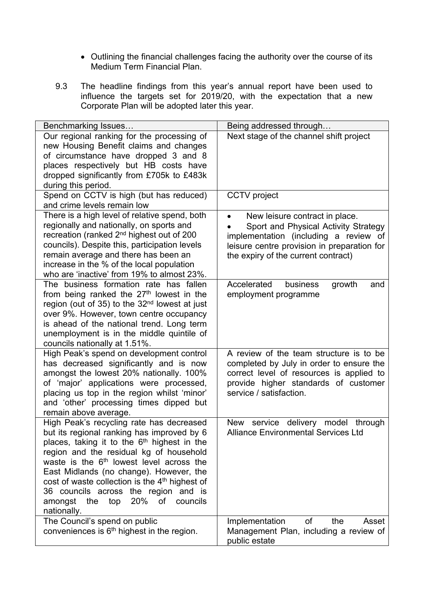- Outlining the financial challenges facing the authority over the course of its Medium Term Financial Plan.
- 9.3 The headline findings from this year's annual report have been used to influence the targets set for 2019/20, with the expectation that a new Corporate Plan will be adopted later this year.

| Benchmarking Issues                                                                                                                                                                                                                                                                                                                                                                                                                                                    | Being addressed through                                                                                                                                                                               |
|------------------------------------------------------------------------------------------------------------------------------------------------------------------------------------------------------------------------------------------------------------------------------------------------------------------------------------------------------------------------------------------------------------------------------------------------------------------------|-------------------------------------------------------------------------------------------------------------------------------------------------------------------------------------------------------|
| Our regional ranking for the processing of<br>new Housing Benefit claims and changes<br>of circumstance have dropped 3 and 8<br>places respectively but HB costs have<br>dropped significantly from £705k to £483k<br>during this period.                                                                                                                                                                                                                              | Next stage of the channel shift project                                                                                                                                                               |
| Spend on CCTV is high (but has reduced)<br>and crime levels remain low                                                                                                                                                                                                                                                                                                                                                                                                 | <b>CCTV</b> project                                                                                                                                                                                   |
| There is a high level of relative spend, both<br>regionally and nationally, on sports and<br>recreation (ranked 2 <sup>nd</sup> highest out of 200<br>councils). Despite this, participation levels<br>remain average and there has been an<br>increase in the % of the local population<br>who are 'inactive' from 19% to almost 23%.                                                                                                                                 | New leisure contract in place.<br>Sport and Physical Activity Strategy<br>implementation (including a review of<br>leisure centre provision in preparation for<br>the expiry of the current contract) |
| The business formation rate has fallen<br>from being ranked the 27 <sup>th</sup> lowest in the<br>region (out of 35) to the 32 <sup>nd</sup> lowest at just<br>over 9%. However, town centre occupancy<br>is ahead of the national trend. Long term<br>unemployment is in the middle quintile of<br>councils nationally at 1.51%.                                                                                                                                      | Accelerated<br>business<br>growth<br>and<br>employment programme                                                                                                                                      |
| High Peak's spend on development control<br>has decreased significantly and is now<br>amongst the lowest 20% nationally. 100%<br>of 'major' applications were processed,<br>placing us top in the region whilst 'minor'<br>and 'other' processing times dipped but<br>remain above average.                                                                                                                                                                            | A review of the team structure is to be<br>completed by July in order to ensure the<br>correct level of resources is applied to<br>provide higher standards of customer<br>service / satisfaction.    |
| High Peak's recycling rate has decreased<br>but its regional ranking has improved by 6<br>places, taking it to the 6 <sup>th</sup> highest in the<br>region and the residual kg of household<br>waste is the 6 <sup>th</sup> lowest level across the<br>East Midlands (no change). However, the<br>cost of waste collection is the 4 <sup>th</sup> highest of<br>36 councils across the region and is<br>20%<br>of<br>amongst<br>the<br>top<br>councils<br>nationally. | service<br>delivery model<br>through<br><b>New</b><br><b>Alliance Environmental Services Ltd</b>                                                                                                      |
| The Council's spend on public<br>conveniences is 6 <sup>th</sup> highest in the region.                                                                                                                                                                                                                                                                                                                                                                                | Implementation<br>οf<br>the<br>Asset<br>Management Plan, including a review of<br>public estate                                                                                                       |